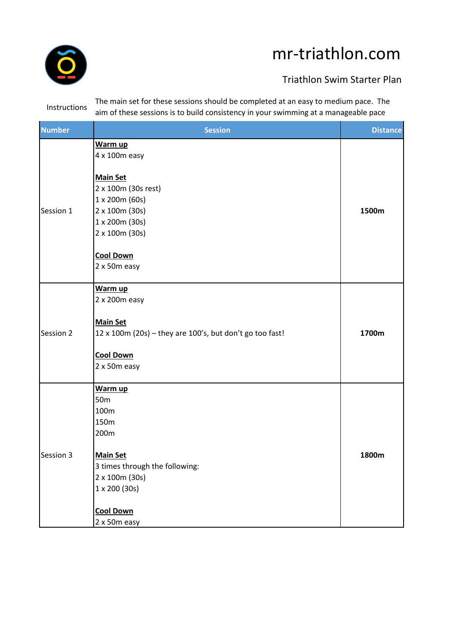

## mr-triathlon.com

## Triathlon Swim Starter Plan

Instructions The main set for these sessions should be completed at an easy to medium pace. The aim of these sessions is to build consistency in your swimming at a manageable pace

| <b>Number</b> | <b>Session</b>                                                              | <b>Distance</b> |
|---------------|-----------------------------------------------------------------------------|-----------------|
| Session 1     | Warm up<br>4 x 100m easy                                                    |                 |
|               | <b>Main Set</b><br>2 x 100m (30s rest)                                      |                 |
|               | 1 x 200m (60s)<br>2 x 100m (30s)                                            | 1500m           |
|               | 1 x 200m (30s)<br>2 x 100m (30s)                                            |                 |
|               | <b>Cool Down</b><br>2 x 50m easy                                            |                 |
| Session 2     | Warm up<br>2 x 200m easy                                                    |                 |
|               | <b>Main Set</b><br>12 x 100m (20s) - they are 100's, but don't go too fast! | 1700m           |
|               | <b>Cool Down</b><br>2 x 50m easy                                            |                 |
| Session 3     | Warm up<br>50 <sub>m</sub>                                                  |                 |
|               | 100m<br>150m                                                                |                 |
|               | 200m                                                                        |                 |
|               | <b>Main Set</b><br>3 times through the following:                           | 1800m           |
|               | 2 x 100m (30s)                                                              |                 |
|               | 1 x 200 (30s)                                                               |                 |
|               | <b>Cool Down</b><br>2 x 50m easy                                            |                 |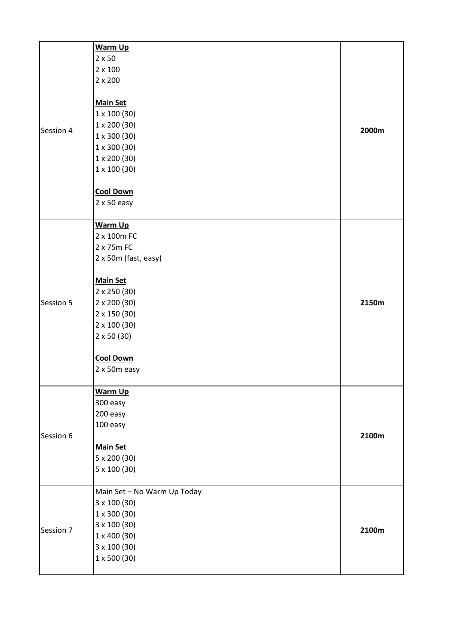|           | Warm Up                     |       |
|-----------|-----------------------------|-------|
|           | $2 \times 50$               |       |
|           | $2 \times 100$              |       |
|           | $2 \times 200$              |       |
|           |                             |       |
|           | <b>Main Set</b>             |       |
|           | $1 \times 100 (30)$         |       |
|           | $1 \times 200 (30)$         |       |
| Session 4 | $1 \times 300 (30)$         | 2000m |
|           | $1 \times 300 (30)$         |       |
|           | $1 \times 200 (30)$         |       |
|           | $1 \times 100 (30)$         |       |
|           |                             |       |
|           | <b>Cool Down</b>            |       |
|           | $2 \times 50$ easy          |       |
|           |                             |       |
|           | <b>Warm Up</b>              |       |
|           | 2 x 100m FC                 |       |
|           | 2 x 75m FC                  |       |
|           | 2 x 50m (fast, easy)        |       |
|           |                             |       |
|           | <b>Main Set</b>             |       |
|           | 2 x 250 (30)                |       |
| Session 5 | $2 \times 200 (30)$         | 2150m |
|           | $2 \times 150 (30)$         |       |
|           | $2 \times 100 (30)$         |       |
|           | $2 \times 50 (30)$          |       |
|           |                             |       |
|           | <b>Cool Down</b>            |       |
|           | 2 x 50m easy                |       |
|           |                             |       |
|           | <b>Warm Up</b>              |       |
|           | 300 easy                    |       |
|           | 200 easy                    |       |
|           | 100 easy                    |       |
| Session 6 |                             | 2100m |
|           | <b>Main Set</b>             |       |
|           | 5 x 200 (30)                |       |
|           | 5 x 100 (30)                |       |
|           |                             |       |
|           | Main Set - No Warm Up Today |       |
|           | 3 x 100 (30)                |       |
| Session 7 | $1 \times 300(30)$          |       |
|           | 3 x 100 (30)                |       |
|           | 1 x 400 (30)                | 2100m |
|           | 3 x 100 (30)                |       |
|           | $1 \times 500$ (30)         |       |
|           |                             |       |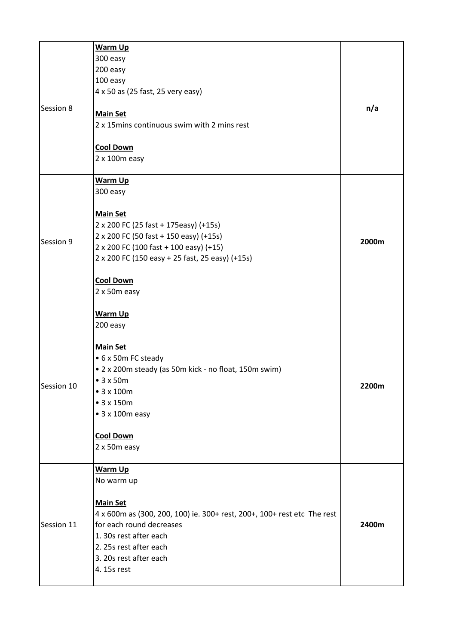| Session 8  | <b>Warm Up</b><br>300 easy<br>200 easy<br>100 easy<br>4 x 50 as (25 fast, 25 very easy)<br><b>Main Set</b><br>2 x 15 mins continuous swim with 2 mins rest<br><b>Cool Down</b><br>$2x100m$ easy                                                                   | n/a   |
|------------|-------------------------------------------------------------------------------------------------------------------------------------------------------------------------------------------------------------------------------------------------------------------|-------|
| Session 9  | <b>Warm Up</b><br>300 easy<br><b>Main Set</b><br>2 x 200 FC (25 fast + 175easy) (+15s)<br>2 x 200 FC (50 fast + 150 easy) (+15s)<br>2 x 200 FC (100 fast + 100 easy) (+15)<br>2 x 200 FC (150 easy + 25 fast, 25 easy) (+15s)<br><b>Cool Down</b><br>2 x 50m easy | 2000m |
| Session 10 | <b>Warm Up</b><br>200 easy<br><b>Main Set</b><br>• 6 x 50m FC steady<br>• 2 x 200m steady (as 50m kick - no float, 150m swim)<br>•3x50m<br>• 3 x 100m<br>$\bullet$ 3 x 150m<br>$\bullet$ 3 x 100m easy<br><b>Cool Down</b><br>2 x 50m easy                        | 2200m |
| Session 11 | <b>Warm Up</b><br>No warm up<br><b>Main Set</b><br>4 x 600m as (300, 200, 100) ie. 300+ rest, 200+, 100+ rest etc The rest<br>for each round decreases<br>1. 30s rest after each<br>2. 25s rest after each<br>3. 20s rest after each<br>4. 15s rest               | 2400m |